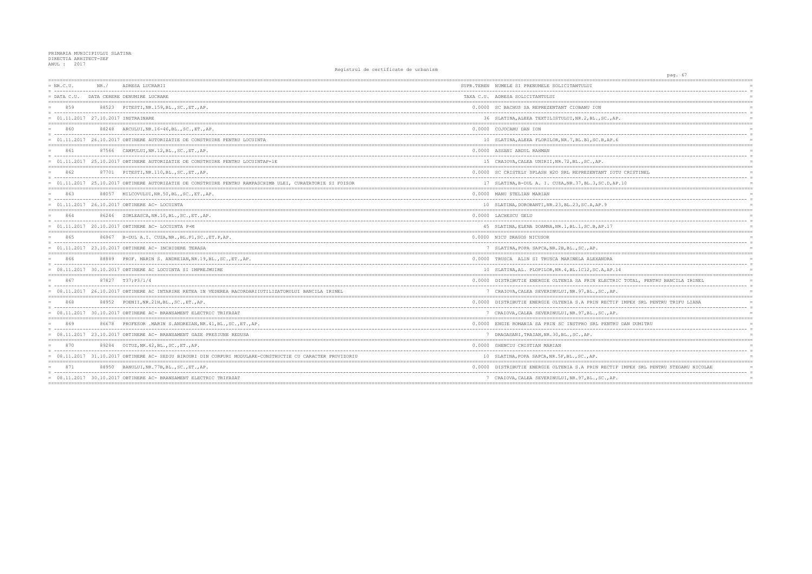## PRIMARIA MUNICIPIULUI SLATINA<br>DIRECTIA ARHITECT-SEF<br>ANUL : 2017

| $= NR.C.U.$                           | NR. / | ADRESA LUCRARII                                                                                                                                              | SUPR.TEREN NUMELE SI PRENUMELE SOLICITANTULUI         |
|---------------------------------------|-------|--------------------------------------------------------------------------------------------------------------------------------------------------------------|-------------------------------------------------------|
|                                       |       | = DATA C.U. DATA CERERE DENUMIRE LUCRARE                                                                                                                     | TAXA C.U. ADRESA SOLICITANTULUI                       |
| 859                                   |       | 88523 PITESTI, NR. 159, BL., SC., ET., AP.                                                                                                                   | 0.0000 SC BACHUS SA REPREZENTANT CIOBANU ION          |
| $= 01.11.2017 27.10.2017$ INSTRAINARE |       |                                                                                                                                                              | 36 SLATINA, ALEEA TEXTILISTULUI, NR. 2, BL., SC., A!  |
| 860                                   |       | 88248 ARCULUI, NR.16-46, BL., SC., ET., AP.                                                                                                                  | 0.0000 COJOCARU DAN ION                               |
|                                       |       | = 01.11.2017 26.10.2017 OBTINERE AUTORIZATIE DE CONSTRUIRE PENTRU LOCUINTA                                                                                   | 10 SLATINA, ALEEA FLORILOR, NR. 7, BL. B1, SC. B, AP. |
| 861                                   |       | 87566 CAMPULUI, NR.12, BL., SC., ET., AP.                                                                                                                    | 0.0000 ASSANI ABDUL RAHMAN                            |
|                                       |       | = 01.11.2017 25.10.2017 OBTINERE AUTORIZATIE DE CONSTRUIRE PENTRU LOCUINTAP+1E                                                                               | 15 CRAIOVA, CALEA UNIRII, NR. 72, BL., SC., AP.       |
| 862                                   |       | 87701 PITESTI, NR. 110, BL., SC., ET., AP.<br>= concertational contract contract and concertation of the contract of the contract of the contract of the con | 0.0000 SC CRISTELY SPLASH H2O SRL REPREZENTANT IOT    |
|                                       |       | = 01.11.2017 25.10.2017 OBTINERE AUTORIZATIE DE CONSTRUIRE PENTRU RAMPASCHIMB ULEI, CURATATORIE SI FOISOR                                                    | 17 SLATINA, B-DUL A. I. CUZA, NR. 37, BL. 3, SC. D, A |
| 863                                   |       | 88057 MILCOVULUI, NR.50, BL., SC., ET., AP.                                                                                                                  | 0.0000 MANU STELIAN MARIAN                            |
|                                       |       | 01.11.2017 26.10.2017 OBTINERE AC- LOCUINTA                                                                                                                  | 10 SLATINA, DOROBANTI, NR. 23, BL. 23, SC. A, AP. 9   |
| 864                                   |       | 86246 ZORLEASCA, NR.10, BL., SC., ET., AP.                                                                                                                   | 0.0000 LACHESCU GELU                                  |
|                                       |       | $= 01.11.2017 20.10.2017$ OBTINERE AC- LOCUINTA P+M                                                                                                          | 45 SLATINA, ELENA DOAMNA, NR. 1, BL. 1, SC. B, AP. 17 |
| 865                                   |       | 86967 B-DUL A.I. CUZA, NR., BL.P1, SC., ET.P, AP.                                                                                                            | 0.0000 NICU DRAGOS NICUSOR                            |
|                                       |       | $= 01.11.2017 23.10.2017$ OBTINERE AC- INCHIDERE TERASA                                                                                                      | 7 SLATINA, POPA SAPCA, NR. 2B, BL., SC., AP.          |
| 866                                   |       | 88889 PROF. MARIN S. ANDREIAN, NR. 19, BL., SC., ET., AP.                                                                                                    | 0.0000 TRUSCA ALIN SI TRUSCA MARINELA ALEXANDRA       |
|                                       |       | = 08.11.2017 30.10.2017 OBTINERE AC LOCUINTA SI IMPREJMUIRE                                                                                                  | 10 SLATINA, AL. PLOPILOR, NR. 4, BL. 1C12, SC. A, AP. |
| 867                                   |       | 87827 T37:P3/1/4                                                                                                                                             | 0.0000 DISTRIBUTIE ENERGIE OLTENIA SA PRIN ELECTR.    |
|                                       |       | = 08.11.2017 26.10.2017 OBTINERE AC INTARIRE RETEA IN VEDEREA RACORDARIIUTILIZATORULUI BANCILA IRINEL                                                        | 7 CRAIOVA, CALEA SEVERINULUI, NR. 97, BL., SC., AP    |
| 868                                   |       | 88952 POENII, NR. 21H, BL., SC., ET., AP.                                                                                                                    | 0.0000 DISTRIBUTIE ENERGIE OLTENIA S.A PRIN RECTIJ    |
|                                       |       | = 08.11.2017 30.10.2017 OBTINERE AC- BRANSAMENT ELECTRIC TRIFAZAT                                                                                            | 7 CRAIOVA, CALEA SEVERINULUI, NR. 97, BL., SC., AP    |
| 869                                   |       | 86678 PROFESOR MARIN S.ANDREIAN, NR. 41, BL., SC., ET., AP.                                                                                                  | 0.0000 ENGIE ROMANIA SA PRIN SC INSTPRO SRL PENTRI    |
|                                       |       | = 08.11.2017 23.10.2017 OBTINERE AC- BRANSAMENT GAZE PRESIUNE REDUSA                                                                                         | 7 DRAGASANI, TRAIAN, NR. 30, BL., SC., AP.            |
| 870                                   |       | 89284 OITUZ, NR. 42, BL., SC., ET., AP.                                                                                                                      | 0.0000 GHENCIU CRISTIAN MARIAN                        |
|                                       |       | = 08.11.2017 31.10.2017 OBTINERE AC- SEDIU BIROURI DIN CORPURI MODULARE-CONSTRUCTIE CU CARACTER PROVIZORIU                                                   | 10 SLATINA, POPA SAPCA, NR. 5F, BL., SC., AP.         |
| 871                                   |       | 88950 BANULUI, NR. 77B, BL., SC., ET., AP.                                                                                                                   | 0.0000 DISTRIBUTIE ENERGIE OLTENIA S.A PRIN RECTII    |
|                                       |       | = 08.11.2017 30.10.2017 OBTINERE AC- BRANSAMENT ELECTRIC TRIFAZAT                                                                                            | 7 CRAIOVA, CALEA SEVERINULUI, NR. 97, BL., SC., AP    |
|                                       |       |                                                                                                                                                              |                                                       |

| pag. 67                              |                                   |
|--------------------------------------|-----------------------------------|
| ================                     |                                   |
|                                      | $\equiv$                          |
|                                      | $=$                               |
| ==========================           | $=$<br>-------------------------- |
|                                      | $=$                               |
| , AP.                                | $=$                               |
|                                      |                                   |
|                                      | $\equiv$                          |
| P.6                                  |                                   |
|                                      |                                   |
|                                      |                                   |
|                                      | $=$                               |
|                                      |                                   |
| IOTU CRISTINEL                       | $=$                               |
|                                      | $=$                               |
| , AP.10                              |                                   |
|                                      | $=$                               |
|                                      | $=$                               |
|                                      | $=$                               |
|                                      |                                   |
|                                      | $=$                               |
| $\overline{7}$                       |                                   |
|                                      |                                   |
|                                      | $\equiv$                          |
|                                      | $=$                               |
| Α                                    | $=$<br>$=$                        |
| --------                             | $=$                               |
| P.14                                 | $=$                               |
|                                      |                                   |
| TRIC TOTAL, PENTRU BANCILA IRINEL    | $=$<br>$\equiv$                   |
| AP.                                  |                                   |
|                                      |                                   |
| TIF IMPEX SRL PENTRU TRIFU LIANA     | $=$<br>$\equiv$                   |
| AP.                                  | $=$                               |
|                                      | $=$                               |
| TRU DAN DUMITRU                      | $=$                               |
|                                      | $=$<br>$=$                        |
|                                      |                                   |
|                                      | $=$                               |
|                                      | $=$                               |
|                                      |                                   |
| TIF IMPEX SRL PENTRU STEGARU NICOLAE |                                   |
|                                      | $=$                               |
| AP.                                  | $=$                               |
|                                      |                                   |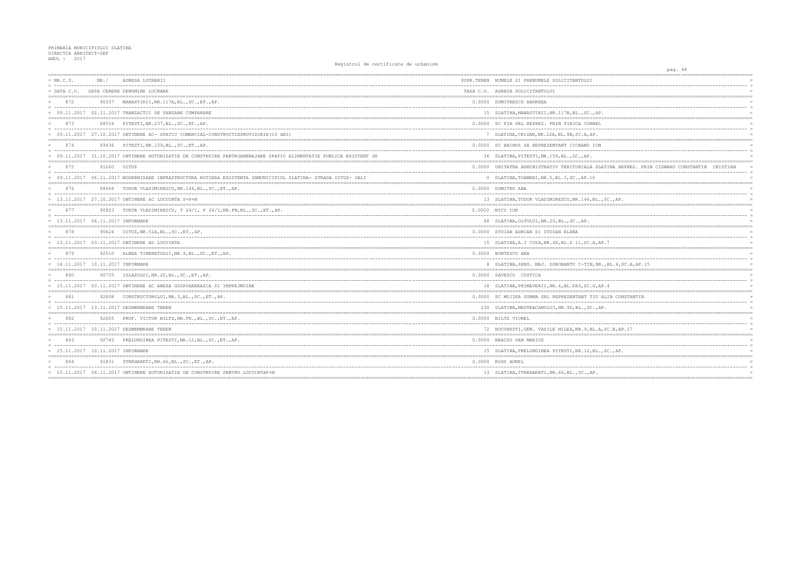## PRIMARIA MUNICIPIULUI SLATINA<br>DIRECTIA ARHITECT-SEF<br>ANUL : 2017

| $= NR.C.U.$                         | NR. /       | ADRESA LUCRARII                                                                                                   | SUPR.TEREN NUMELE SI PRENUMELE SOLICITANTULUI        |
|-------------------------------------|-------------|-------------------------------------------------------------------------------------------------------------------|------------------------------------------------------|
| $=$ DATA C.U.                       |             | DATA CERERE DENUMIRE LUCRARE                                                                                      | TAXA C.U. ADRESA SOLICITANTULUI                      |
| 872                                 |             | 90357 MANASTIRII, NR.117A, BL., SC., ET., AP.                                                                     | 0.0000 DUMITRESCU ANDREEA                            |
|                                     |             | $= 09.11.2017 02.11.2017 TRANZACTII DE VANZARE CUMPARARE$                                                         | 15 SLATINA, MANASTIRII, NR. 117B, BL., SC., AP.      |
| 873                                 |             | 88554 PITESTI, NR. 237, BL., SC., ET., AP.                                                                        | 0.0000 SC FIR SRL REPREZ. PRIN FIRICA CORNEL         |
|                                     |             | = 09.11.2017 27.10.2017 OBTINERE AC- SPATIU COMERCIAL-CONSTRUCTIEPROVIZORIE(10 ANI)                               | 7 SLATINA, CRISAN, NR. 22A, BL. 8B, SC. A, AP.       |
| 874                                 |             | 89436 PITESTI, NR. 159, BL., SC., ET., AP.                                                                        | 0.0000 SC BACHUS SA REPREZENTANT CIOBANU ION         |
|                                     |             | = 09.11.2017 31.10.2017 OBTINERE AUTORIZATIE DE CONSTRUIRE PENTRUAMENAJARE SPATIU ALIMENTATIE PUBLICA EXISTENT IN | 36 SLATINA, PITESTI, NR. 159, BL., SC., AP.          |
| 875                                 | 91260 OITUZ |                                                                                                                   | 0.0000 UNITATEA ADMINISTRATIV TERITORIALA SLATIN     |
|                                     |             | = 09.11.2017 06.11.2017 MODERNIZARE INFRASTRUCTURA RUTIERA EXISTENTA INMUNICIPIUL SLATINA- STRADA OITUZ- DALI     | 0 SLATINA, TOAMNEI, NR.5, BL.3, SC., AP.10           |
| 876                                 |             | 88668 TUDOR VLADIMIRESCU, NR. 146, BL., SC., ET., AP.                                                             | 0.0000 DUMITRU ANA                                   |
|                                     |             | = 13.11.2017 27.10.2017 OBTINERE AC LOCUINTA S+P+M                                                                | 13 SLATINA, TUDOR VLADIMIRESCU, NR.146, BL., SC.     |
| 877                                 |             | 90923 TUDOR VLADIMIRESCU, T 24/1, P 26/1, NR. FN, BL., SC., ET., AP.                                              | 0.0000 MICU ION                                      |
| $= 13.11.2017 06.11.2017$ INFORMARE |             |                                                                                                                   | 68 SLATINA, OLTULUI, NR. 20, BL., SC., AP.           |
| 878                                 |             | 90626 OITUZ, NR.51A, BL., SC., ET., AP                                                                            | 0.0000 STOIAN ADRIAN SI STOIAN ELENA                 |
|                                     |             | $= 13.11.2017 03.11.2017$ OBTINERE AD LOCUINTA                                                                    | 15 SLATINA, A.I CUZA, NR. 48, BL. D 11, SC. A, AP. 7 |
| 879                                 |             | 92510 ALEEA TINERETULUI, NR. 9, BL., SC., ET., AP.                                                                | 0.0000 BONTESCU ANA                                  |
| $= 14.11.2017 10.11.2017$ INFORMARE |             |                                                                                                                   | 8 SLATINA, SERG. MAJ. DOROBANTU C-TIN, NR., BL       |
| 880                                 |             | 90755 ISLAZULUI, NR. 20, BL., SC., ET., AP.                                                                       | 0.0000 SAVESCU COSTICA                               |
|                                     |             | = 15.11.2017 03.11.2017 OBTINERE AC ANEXA GOSPODAREASCA SI IMPREJMUIRE                                            | 18 SLATINA, PRIMAVERII, NR. 4, BL. FA5, SC. D, AP. 4 |
| 881                                 |             | 92808 CONSTRUCTORULUI, NR.3, BL., SC., ET., AP.                                                                   | 0.0000 SC MUJIKA GUMMA SRL REPREZENTANT TIU ALIN     |
|                                     |             | = 15.11.2017 13.11.2017 DEZMEMBRARE TEREN                                                                         | 230 SLATINA, MESTEACANULUI, NR. 9D, BL., SC., AP.    |
| 882                                 |             | 92605 PROF. VICTOR BILTZ, NR. FN., BL., SC., ET., AP.                                                             | 0.0000 BILTZ VIOREL                                  |
|                                     |             | = 15.11.2017 10.11.2017 DEZMEMBRARE TEREN                                                                         | 72 BUCURESTI, GEN. VASILE MILEA, NR. 9, BL. A, SC.   |
| 883                                 |             | 92745 PRELUNGIREA PITESTI, NR.12, BL., SC., ET., AP.                                                              | 0.0000 NEACSU DAN MARIUS                             |
| = 15.11.2017 10.11.2017 INFORMARE   |             |                                                                                                                   | 15 SLATINA, PRELUNGIREA PITESTI, NR. 12, BL., SC.    |
| 884                                 |             | 91831 STREHARETI, NR. 66, BL., SC., ET., AP.                                                                      | 0.0000 ROSU AUREL                                    |
|                                     |             | = 15.11.2017 08.11.2017 OBTINERE AUTORIZATIE DE CONSTRUIRE PENTRU LOCUINTAP+M                                     | 13 SLATINA, STREHARETI, NR. 66, BL., SC., AP.        |
|                                     |             |                                                                                                                   |                                                      |

|                                               | pag. 68 |                               |            |                      |
|-----------------------------------------------|---------|-------------------------------|------------|----------------------|
| $====$<br>$=$                                 |         |                               |            |                      |
| ----                                          |         | $---$                         |            | $\equiv$             |
|                                               |         |                               |            |                      |
|                                               |         |                               |            |                      |
|                                               |         |                               |            | $\equiv$             |
|                                               |         |                               |            |                      |
|                                               |         |                               |            |                      |
|                                               |         |                               |            | $\equiv$             |
|                                               |         |                               |            |                      |
|                                               |         |                               |            | $=$                  |
|                                               |         |                               |            | $\equiv$             |
|                                               |         |                               |            |                      |
|                                               |         |                               |            |                      |
| A REPREZ. PRIN CISMARU CONSTANTIN CRISTIAN    |         |                               |            | $\equiv$<br>$\equiv$ |
|                                               |         |                               |            | $=$                  |
|                                               |         |                               |            | $=$                  |
|                                               |         |                               |            | $\equiv$             |
| AP.                                           |         |                               |            |                      |
| ==========                                    |         |                               |            |                      |
|                                               |         |                               |            |                      |
|                                               |         |                               |            | $\equiv$             |
|                                               |         |                               |            |                      |
|                                               |         |                               |            |                      |
|                                               |         |                               |            | $\equiv$             |
| =======                                       |         | ----------------------------- |            |                      |
|                                               |         |                               |            |                      |
| .4, SC.A, AP.15                               |         |                               |            | $\equiv$             |
| -----------------                             |         | :======================       |            |                      |
|                                               |         |                               |            |                      |
|                                               |         |                               |            | $\equiv$             |
|                                               |         |                               | ------     | $=$                  |
| CONSTANTIN                                    |         |                               |            |                      |
|                                               |         |                               |            | $\equiv$             |
|                                               |         |                               |            |                      |
|                                               |         |                               |            |                      |
| $--$<br>------                                |         | -----------------             |            | $\equiv$             |
| B,AP.17                                       |         |                               |            | $=$                  |
| $==$<br>;==================================== |         |                               |            |                      |
|                                               |         |                               |            | $\equiv$             |
| AP.                                           |         |                               |            |                      |
|                                               |         |                               | ========== |                      |
|                                               |         |                               |            |                      |
|                                               |         |                               |            |                      |
|                                               |         |                               |            |                      |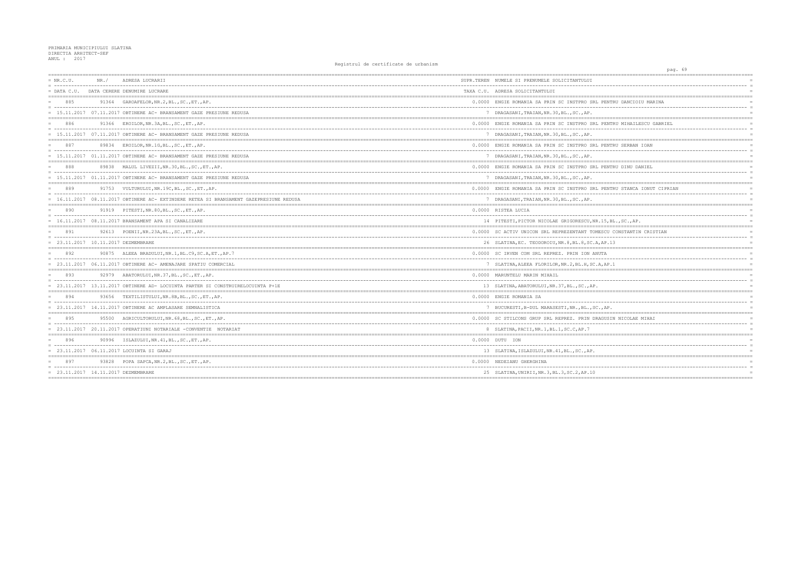| $= NR.C.U.$                         | NR. / | ADRESA LUCRARII                                                                      | SUPR.TEREN NUMELE SI PRENUMELE SOLICITANTULUI         |
|-------------------------------------|-------|--------------------------------------------------------------------------------------|-------------------------------------------------------|
| $=$ DATA C.U.                       |       | DATA CERERE DENUMIRE LUCRARE                                                         | TAXA C.U. ADRESA SOLICITANTULUI                       |
| 885                                 |       | 91364 GAROAFELOR, NR. 2, BL., SC., ET., AP.                                          | 0.0000 ENGIE ROMANIA SA PRIN SC INSTPRO SRL PENT      |
|                                     |       | = 15.11.2017 07.11.2017 OBTINERE AC- BRANSAMENT GAZE PRESIUNE REDUSA                 | 7 DRAGASANI, TRAIAN, NR. 30, BL., SC., AP.            |
| 886                                 | 91366 | EROILOR, NR.3A, BL., SC., ET., AP.                                                   | 0.0000 ENGIE ROMANIA SA PRIN SC INSTPRO SRL PENT      |
|                                     |       | = 15.11.2017 07.11.2017 OBTINERE AC- BRANSAMENT GAZE PRESIUNE REDUSA                 | 7 DRAGASANI, TRAIAN, NR. 30, BL., SC., AP.            |
| 887                                 |       | 89834 EROILOR, NR.1G, BL., SC., ET., AP.                                             | 0.0000 ENGIE ROMANIA SA PRIN SC INSTPRO SRL PENT      |
|                                     |       | = 15.11.2017 01.11.2017 OBTINERE AC- BRANSAMENT GAZE PRESIUNE REDUSA                 | 7 DRAGASANI, TRAIAN, NR.30, BL., SC., AP.             |
| 888                                 |       | 89838 MALUL LIVEZII, NR. 30, BL., SC., ET., AP.                                      | 0.0000 ENGIE ROMANIA SA PRIN SC INSTPRO SRL PENT      |
|                                     |       | 15.11.2017 01.11.2017 OBTINERE AC- BRANSAMENT GAZE PRESIUNE REDUSA                   | 7 DRAGASANI, TRAIAN, NR.30, BL., SC., AP.             |
| 889                                 |       | 91753 VULTURULUI, NR.19C, BL., SC., ET., AP.                                         | 0.0000 ENGIE ROMANIA SA PRIN SC INSTPRO SRL PENT      |
|                                     |       | 16.11.2017 08.11.2017 OBTINERE AC- EXTINDERE RETEA SI BRANSAMENT GAZEPRESIUNE REDUSA | 7 DRAGASANI, TRAIAN, NR. 30, BL., SC., AP.            |
| 890                                 |       | 91919 PITESTI, NR.80, BL., SC., ET., AP.                                             | 0.0000 RISTEA LUCIA                                   |
|                                     |       | $= 16.11.2017 08.11.2017$ BRANSAMENT APA SI CANALIZARE                               | 14 PITESTI, PICTOR NICOLAE GRIGORESCU, NR.15, B       |
| 891                                 |       | 92613 POENII, NR. 23A, BL., SC., ET., AP.                                            | 0.0000 SC ACTIV UNICON SRL REPREZENTANT TOMESCU       |
| = 23.11.2017 10.11.2017 DEZMEMBRARE |       |                                                                                      | 26 SLATINA, EC. TEODOROIU, NR. 8, BL. 8, SC. A, AP. 1 |
| 892                                 |       | 90875 ALEEA BRADULUI, NR. 1, BL. C9, SC. A, ET., AP. 7                               | 0.0000 SC IRVEN COM SRL REPREZ. PRIN ION ANUTA        |
|                                     |       | 23.11.2017 06.11.2017 OBTINERE AC- AMENAJARE SPATIU COMERCIAL                        | 7 SLATINA, ALEEA FLORILOR, NR. 2, BL. H, SC. A, AP.   |
| 893                                 |       | 92979 ABATORULUI, NR. 37, BL., SC., ET., AP.                                         | 0.0000 MARUNTELU MARIN MIHAIL                         |
|                                     |       | = 23.11.2017 13.11.2017 OBTINERE AD- LOCUINTA PARTER SI CONSTRUIRELOCUINTA P+1E      | 13 SLATINA, ABATORULUI, NR. 37, BL., SC., AP.         |
| 894                                 |       | 93656 TEXTILISTULUI, NR.8B, BL., SC., ET., AP.                                       | 0.0000 ENGIE ROMANIA SA                               |
|                                     |       | $= 23.11.2017 14.11.2017$ OBTINERE AC AMPLASARE SEMNALISTICA                         | 7 BUCURESTI, B-DUL MARASESTI, NR., BL., SC., AP.      |
| 895                                 |       | 95500 AGRICULTORULUI, NR. 68, BL., SC., ET., AP.                                     | 0.0000 SC STILCONS GRUP SRL REPREZ. PRIN DRAGUSI      |
|                                     |       | 23.11.2017 20.11.2017 OPERATIUNI NOTARIALE -CONVENTIE NOTARIAT                       | 8 SLATINA, PACII, NR. 1, BL. 1, SC. C, AP. 7          |
| 896                                 |       | 90996 ISLAZULUI, NR. 41, BL., SC., ET., AP.                                          | $0.0000$ DUTU ION                                     |
|                                     |       | 23.11.2017  06.11.2017  LOCUINTA SI GARAJ                                            | 13 SLATINA, ISLAZULUI, NR. 41, BL., SC., AP.          |
| 897                                 |       | 93828 POPA SAPCA, NR. 2, BL., SC., ET., AP.                                          | 0.0000 NEDEIANU GHERGHINA                             |
| = 23.11.2017 14.11.2017 DEZMEMBRARE |       |                                                                                      | 25 SLATINA, UNIRII, NR. 3, BL. 3, SC. 2, AP. 10       |
|                                     |       |                                                                                      |                                                       |

| pag. 69                        |                |
|--------------------------------|----------------|
|                                |                |
|                                |                |
|                                | $=$            |
| RU DANCIOIU MARINA             |                |
|                                |                |
|                                |                |
| RU MIHAILESCU GABRIEL          |                |
| $-$                            | $\equiv$       |
|                                | $\equiv$       |
|                                |                |
| RU SERBAN IOAN                 | $=$            |
|                                |                |
|                                |                |
| RU DINU DANIEL                 |                |
|                                | $\equiv$       |
|                                |                |
| RU STANCA IONUT CIPRIAN        |                |
|                                |                |
|                                |                |
|                                |                |
|                                | $\equiv$       |
| L., SC., AP.                   |                |
| CONSTANTIN CRISTIAN            |                |
|                                | $\equiv$       |
| 3                              | $=$            |
|                                |                |
|                                | $\equiv$       |
| 1                              |                |
|                                |                |
|                                | $\equiv$       |
|                                |                |
|                                |                |
| ------------------------------ | $\equiv$       |
|                                |                |
|                                |                |
| N NICOLAE MIHAI                |                |
|                                | $\overline{a}$ |
|                                |                |
|                                |                |
|                                | $\equiv$       |
|                                |                |
|                                |                |
|                                |                |
|                                | $=$            |
|                                |                |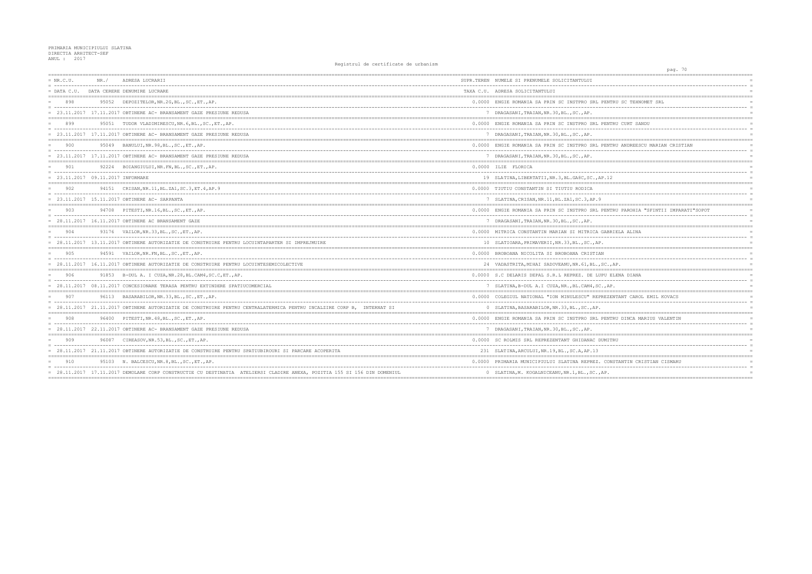| $= NR.C.U.$                       | NR. / | ADRESA LUCRARII                                                                                                          | SUPR.TEREN NUMELE SI PRENUMELE SOLICITANTULUI        |
|-----------------------------------|-------|--------------------------------------------------------------------------------------------------------------------------|------------------------------------------------------|
| $=$ DATA C.U.                     |       | DATA CERERE DENUMIRE LUCRARE                                                                                             | TAXA C.U. ADRESA SOLICITANTULUI                      |
| 898                               |       | 95052 DEPOZITELOR, NR.2G, BL., SC., ET., AP.                                                                             | 0.0000 ENGIE ROMANIA SA PRIN SC INSTPRO SRL PENT     |
|                                   |       | = 23.11.2017 17.11.2017 OBTINERE AC- BRANSAMENT GAZE PRESIUNE REDUSA                                                     | 7 DRAGASANI, TRAIAN, NR. 30, BL., SC., AP.           |
| 899                               |       | 95051 TUDOR VLADIMIRESCU, NR. 6, BL., SC., ET., AP.                                                                      | 0.0000 ENGIE ROMANIA SA PRIN SC INSTPRO SRL PENTI    |
|                                   |       | 23.11.2017 17.11.2017 OBTINERE AC- BRANSAMENT GAZE PRESIUNE REDUSA                                                       | 7 DRAGASANI, TRAIAN, NR. 30, BL., SC., AP.           |
| 900                               |       | 95049 BANULUI, NR. 98, BL., SC., ET., AP.                                                                                | 0.0000 ENGIE ROMANIA SA PRIN SC INSTPRO SRL PENTI    |
|                                   |       | = 23.11.2017 17.11.2017 OBTINERE AC- BRANSAMENT GAZE PRESIUNE REDUSA                                                     | 7 DRAGASANI, TRAIAN, NR. 30, BL., SC., AP.           |
| 901                               |       | 92224 BOIANGIULUI, NR. FN, BL., SC., ET., AP.                                                                            | 0.0000 ILIE FLORICA                                  |
| = 23.11.2017 09.11.2017 INFORMARE |       |                                                                                                                          | 19 SLATINA, LIBERTATII, NR. 3, BL. GA8C, SC., AP. 12 |
| 902                               |       | 94151 CRISAN, NR. 11, BL. ZA1, SC. 3, ET. 4, AP. 9                                                                       | 0.0000 TIUTIU CONSTANTIN SI TIUTIU RODICA            |
|                                   |       | = 23.11.2017 15.11.2017 OBTINERE AC- SARPANTA                                                                            | 7 SLATINA, CRISAN, NR. 11, BL. ZA1, SC. 3, AP. 9     |
| 903                               |       | 94708 PITESTI, NR. 16, BL., SC., ET., AP.                                                                                | 0.0000 ENGIE ROMANIA SA PRIN SC INSTPRO SRL PENTI    |
|                                   |       | = 28.11.2017  16.11.2017 OBTINERE AC BRANSAMENT GAZE                                                                     | 7 DRAGASANI, TRAIAN, NR. 30, BL., SC., AP.           |
| 904                               |       | 93176 VAILOR, NR. 33, BL., SC., ET., AP.                                                                                 | 0.0000 MITRICA CONSTANTIN MARIAN SI MITRICA GABR     |
|                                   |       | = 28.11.2017 13.11.2017 OBTINERE AUTORIZATIE DE CONSTRUIRE PENTRU LOCUINTAPARTER SI IMPREJMUIRE                          | 10 SLATIOARA, PRIMAVERII, NR. 33, BL., SC., AP.      |
| 905                               |       | 94591 VAILOR, NR. FN, BL., SC., ET., AP.                                                                                 | 0.0000 BROBOANA NICOLITA SI BROBOANA CRISTIAN        |
|                                   |       | = 28.11.2017 16.11.2017 OBTINERE AUTORIZATIE DE CONSTRUIRE PENTRU LOCUINTESEMICOLECTIVE                                  | 24 VADASTRITA, MIHAI SADOVEANU, NR. 61, BL., SC.,    |
| 906                               |       | 91853 B-DUL A. I CUZA, NR. 28, BL. CAM4, SC. C, ET., AP.                                                                 | 0.0000 S.C DELARIS DEPAL S.R.L REPREZ. DE LUPU E     |
|                                   |       | = 28.11.2017 08.11.2017 CONCESIONARE TERASA PENTRU EXTINDERE SPATIUCOMERCIAL                                             | 7 SLATINA, B-DUL A.I CUZA, NR., BL.CAM4, SC., AP     |
| 907                               |       | 96113 BASARABILOR, NR. 33, BL., SC., ET., AP.                                                                            | 0.0000 COLEGIUL NATIONAL "ION MINULESCU" REPREZED    |
|                                   |       | = 28.11.2017 21.11.2017 OBTINERE AUTORIZATIE DE CONSTRUIRE PENTRU CENTRALATERMICA PENTRU INCALZIRE CORP B, INTERNAT SI   | 0 SLATINA, BASARABILOR, NR. 33, BL., SC., AP.        |
| 908                               |       | 96400 PITESTI, NR. 48, BL., SC., ET., AP.                                                                                | 0.0000 ENGIE ROMANIA SA PRIN SC INSTPRO SRL PENTI    |
|                                   |       | $= 28.11.2017 22.11.2017$ OBTINERE AC- BRANSAMENT GAZE PRESIUNE REDUSA                                                   | 7 DRAGASANI, TRAIAN, NR.30, BL., SC., AP.            |
| 909                               |       | 96087 CIREASOV, NR. 53, BL., SC., ET., AP.                                                                               | 0.0000 SC ROLMIS SRL REPREZENTANT GHIDANAC DUMITI    |
|                                   |       | = 28.11.2017 21.11.2017 OBTINERE AUTORIZATIE DE CONSTRUIRE PENTRU SPATIUBIROURI SI PARCARE ACOPERITA                     | 231 SLATINA, ARCULUI, NR.19, BL., SC.A, AP.13        |
| 910                               |       | 95103 N. BALCESCU, NR. 8, BL., SC., ET., AP.                                                                             | 0.0000 PRIMARIA MUNICIPIULUI SLATINA REPREZ. CON     |
|                                   |       | = 28.11.2017 17.11.2017 DEMOLARE CORP CONSTRUCTIE CU DESTINATIA ATELIERSI CLADIRE ANEXA, POZITIA 155 SI 156 DIN DOMENIUL | 0 SLATINA, M. KOGALNICEANU, NR.1, BL., SC., AP.      |
|                                   |       |                                                                                                                          |                                                      |

| pag. 70                            |          |
|------------------------------------|----------|
|                                    |          |
|                                    | $\equiv$ |
|                                    |          |
| RU SC TEHNOMET SRL                 | $=$      |
|                                    | $\equiv$ |
|                                    |          |
| RU CURT SANDU                      |          |
|                                    | $\equiv$ |
|                                    |          |
|                                    | $=$      |
| RU ANDREESCU MARIAN CRISTIAN       | $\equiv$ |
|                                    |          |
|                                    |          |
|                                    | $\equiv$ |
|                                    | $=$      |
|                                    |          |
|                                    | $\equiv$ |
|                                    |          |
|                                    | $=$      |
| RU PAROHIA "SFINTII IMPARATI"SOPOT |          |
|                                    |          |
|                                    |          |
| IELA ALINA                         |          |
|                                    | $\equiv$ |
|                                    |          |
|                                    |          |
|                                    | $\equiv$ |
| AΡ.                                |          |
| LENA DIANA                         |          |
|                                    | $\equiv$ |
|                                    | $=$      |
| NTANT CAROL EMIL KOVACS            |          |
|                                    | $\equiv$ |
|                                    |          |
| RU DINCA MARIUS VALENTIN           |          |
|                                    | $\equiv$ |
|                                    |          |
| ŔŪ                                 |          |
|                                    | $\equiv$ |
|                                    |          |
|                                    |          |
| STANTIN CRISTIAN CISMARU           | $=$      |
|                                    | $=$      |
|                                    |          |